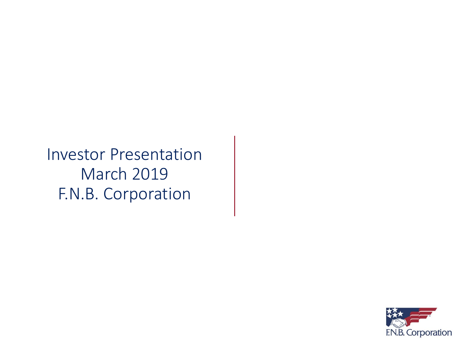Investor Presentation March 2019 F.N.B. Corporation

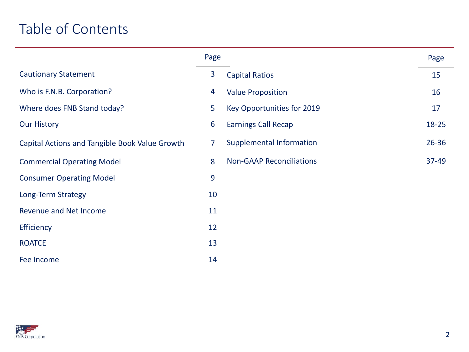## Table of Contents

|                                                | Page           |                                 | Page      |
|------------------------------------------------|----------------|---------------------------------|-----------|
| <b>Cautionary Statement</b>                    | 3              | <b>Capital Ratios</b>           | 15        |
| Who is F.N.B. Corporation?                     | $\overline{4}$ | <b>Value Proposition</b>        | 16        |
| Where does FNB Stand today?                    | 5              | Key Opportunities for 2019      | 17        |
| <b>Our History</b>                             | 6              | <b>Earnings Call Recap</b>      | 18-25     |
| Capital Actions and Tangible Book Value Growth | 7              | <b>Supplemental Information</b> | $26 - 36$ |
| <b>Commercial Operating Model</b>              | 8              | <b>Non-GAAP Reconciliations</b> | 37-49     |
| <b>Consumer Operating Model</b>                | $\overline{9}$ |                                 |           |
| Long-Term Strategy                             | 10             |                                 |           |
| <b>Revenue and Net Income</b>                  | 11             |                                 |           |
| Efficiency                                     | 12             |                                 |           |
| <b>ROATCE</b>                                  | 13             |                                 |           |
| Fee Income                                     | 14             |                                 |           |

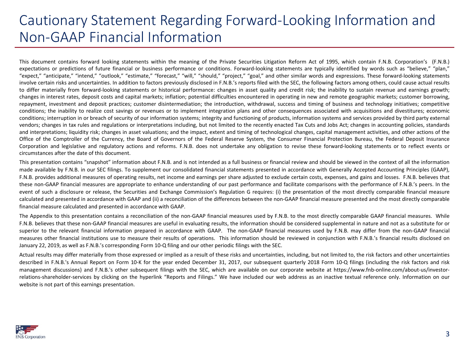#### Cautionary Statement Regarding Forward-Looking Information and Non-GAAP Financial Information

This document contains forward looking statements within the meaning of the Private Securities Litigation Reform Act of 1995, which contain F.N.B. Corporation's (F.N.B.) expectations or predictions of future financial or business performance or conditions. Forward-looking statements are typically identified by words such as "believe," "plan," "expect," "anticipate," "intend," "outlook," "estimate," "forecast," "will," "should," "project," "goal," and other similar words and expressions. These forward-looking statements involve certain risks and uncertainties. In addition to factors previously disclosed in F.N.B.'s reports filed with the SEC, the following factors among others, could cause actual results to differ materially from forward-looking statements or historical performance: changes in asset quality and credit risk; the inability to sustain revenue and earnings growth; changes in interest rates, deposit costs and capital markets; inflation; potential difficulties encountered in operating in new and remote geographic markets; customer borrowing, repayment, investment and deposit practices; customer disintermediation; the introduction, withdrawal, success and timing of business and technology initiatives; competitive conditions; the inability to realize cost savings or revenues or to implement integration plans and other consequences associated with acquisitions and divestitures; economic conditions; interruption in or breach of security of our information systems; integrity and functioning of products, information systems and services provided by third party external vendors; changes in tax rules and regulations or interpretations including, but not limited to the recently enacted Tax Cuts and Jobs Act; changes in accounting policies, standards and interpretations; liquidity risk; changes in asset valuations; and the impact, extent and timing of technological changes, capital management activities, and other actions of the Office of the Comptroller of the Currency, the Board of Governors of the Federal Reserve System, the Consumer Financial Protection Bureau, the Federal Deposit Insurance Corporation and legislative and regulatory actions and reforms. F.N.B. does not undertake any obligation to revise these forward-looking statements or to reflect events or circumstances after the date of this document.

This presentation contains "snapshot" information about F.N.B. and is not intended as a full business or financial review and should be viewed in the context of all the information made available by F.N.B. in our SEC filings. To supplement our consolidated financial statements presented in accordance with Generally Accepted Accounting Principles (GAAP), F.N.B. provides additional measures of operating results, net income and earnings per share adjusted to exclude certain costs, expenses, and gains and losses. F.N.B. believes that these non-GAAP financial measures are appropriate to enhance understanding of our past performance and facilitate comparisons with the performance of F.N.B.'s peers. In the event of such a disclosure or release, the Securities and Exchange Commission's Regulation G requires: (i) the presentation of the most directly comparable financial measure calculated and presented in accordance with GAAP and (ii) a reconciliation of the differences between the non-GAAP financial measure presented and the most directly comparable financial measure calculated and presented in accordance with GAAP.

The Appendix to this presentation contains a reconciliation of the non-GAAP financial measures used by F.N.B. to the most directly comparable GAAP financial measures. While F.N.B. believes that these non-GAAP financial measures are useful in evaluating results, the information should be considered supplemental in nature and not as a substitute for or superior to the relevant financial information prepared in accordance with GAAP. The non-GAAP financial measures used by F.N.B. may differ from the non-GAAP financial measures other financial institutions use to measure their results of operations. This information should be reviewed in conjunction with F.N.B.'s financial results disclosed on January 22, 2019, as well as F.N.B.'s corresponding Form 10-Q filing and our other periodic filings with the SEC.

Actual results may differ materially from those expressed or implied as a result of these risks and uncertainties, including, but not limited to, the risk factors and other uncertainties described in F.N.B.'s Annual Report on Form 10-K for the year ended December 31, 2017, our subsequent quarterly 2018 Form 10-Q filings (including the risk factors and risk management discussions) and F.N.B.'s other subsequent filings with the SEC, which are available on our corporate website at https://www.fnb-online.com/about-us/investorrelations-shareholder-services by clicking on the hyperlink "Reports and Filings." We have included our web address as an inactive textual reference only. Information on our website is not part of this earnings presentation.

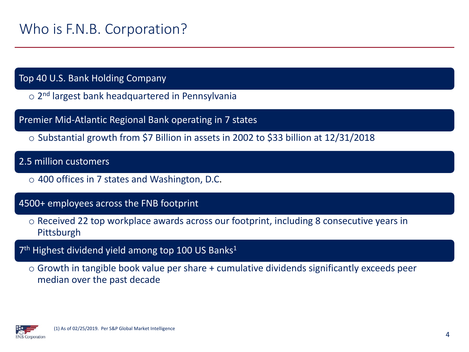#### Top 40 U.S. Bank Holding Company

o 2<sup>nd</sup> largest bank headquartered in Pennsylvania

Premier Mid-Atlantic Regional Bank operating in 7 states

o Substantial growth from \$7 Billion in assets in 2002 to \$33 billion at 12/31/2018

2.5 million customers

o 400 offices in 7 states and Washington, D.C.

#### 4500+ employees across the FNB footprint

- o Received 22 top workplace awards across our footprint, including 8 consecutive years in Pittsburgh
- 7<sup>th</sup> Highest dividend yield among top 100 US Banks<sup>1</sup>
	- o Growth in tangible book value per share + cumulative dividends significantly exceeds peer median over the past decade

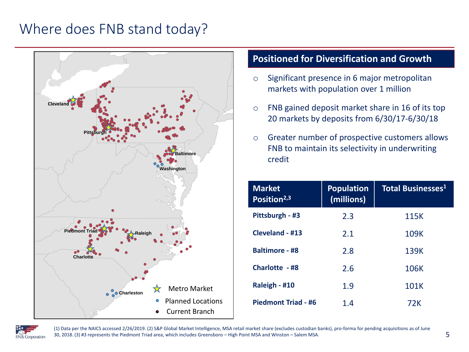#### Where does FNB stand today?



#### **Positioned for Diversification and Growth**

- o Significant presence in 6 major metropolitan markets with population over 1 million
- o FNB gained deposit market share in 16 of its top 20 markets by deposits from 6/30/17-6/30/18
- o Greater number of prospective customers allows FNB to maintain its selectivity in underwriting credit

| <b>Market</b><br>Position <sup>2,3</sup> | Population<br>(millions) | <b>Total Businesses<sup>1</sup></b> |
|------------------------------------------|--------------------------|-------------------------------------|
| Pittsburgh - #3                          | 2.3                      | 115K                                |
| Cleveland - #13                          | 2.1                      | 109K                                |
| <b>Baltimore - #8</b>                    | 2.8                      | 139K                                |
| Charlotte - #8                           | 2.6                      | 106K                                |
| Raleigh - #10                            | 1.9                      | 101K                                |
| <b>Piedmont Triad - #6</b>               | 1.4                      | 72K                                 |



(1) Data per the NAICS accessed 2/26/2019. (2) S&P Global Market Intelligence, MSA retail market share (excludes custodian banks), pro-forma for pending acquisitions as of June 30, 2018. (3) #3 represents the Piedmont Triad area, which includes Greensboro – High Point MSA and Winston – Salem MSA.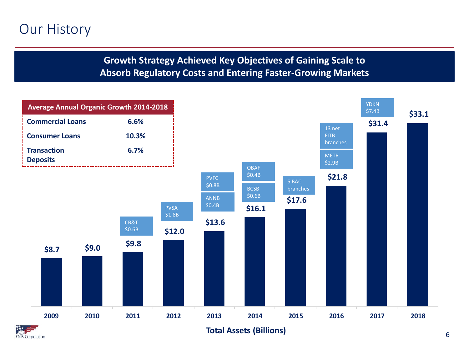#### Our History

#### **Growth Strategy Achieved Key Objectives of Gaining Scale to Absorb Regulatory Costs and Entering Faster-Growing Markets**





**Total Assets (Billions)**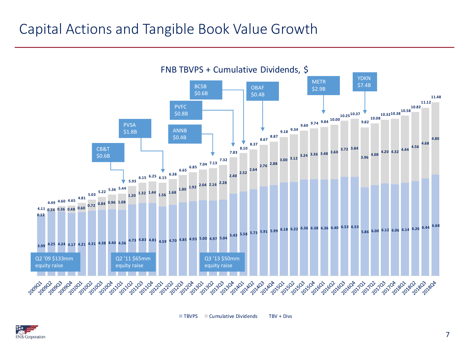#### Capital Actions and Tangible Book Value Growth



TBVPS Cumulative Dividends TBV + Divs

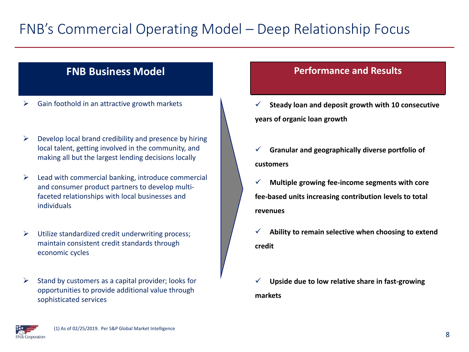## FNB's Commercial Operating Model – Deep Relationship Focus

#### **FNB Business Model**

- ➢ Gain foothold in an attractive growth markets
- $\triangleright$  Develop local brand credibility and presence by hiring local talent, getting involved in the community, and making all but the largest lending decisions locally
- $\triangleright$  Lead with commercial banking, introduce commercial and consumer product partners to develop multifaceted relationships with local businesses and individuals
- ➢ Utilize standardized credit underwriting process; maintain consistent credit standards through economic cycles

➢ Stand by customers as a capital provider; looks for opportunities to provide additional value through sophisticated services

#### **Performance and Results**

- ✓ **Steady loan and deposit growth with 10 consecutive years of organic loan growth**
- ✓ **Granular and geographically diverse portfolio of customers**
- ✓ **Multiple growing fee-income segments with core fee-based units increasing contribution levels to total revenues**
- ✓ **Ability to remain selective when choosing to extend credit**
- Upside due to low relative share in fast-growing **markets**

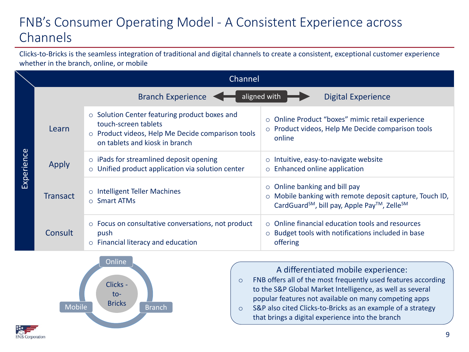#### FNB's Consumer Operating Model - A Consistent Experience across Channels

Clicks-to-Bricks is the seamless integration of traditional and digital channels to create a consistent, exceptional customer experience whether in the branch, online, or mobile

|            |                 | Channel                                                                                                                                                            |                                                                                                                                                           |  |  |  |  |
|------------|-----------------|--------------------------------------------------------------------------------------------------------------------------------------------------------------------|-----------------------------------------------------------------------------------------------------------------------------------------------------------|--|--|--|--|
|            |                 | <b>Branch Experience</b>                                                                                                                                           | aligned with<br><b>Digital Experience</b>                                                                                                                 |  |  |  |  |
|            | Learn           | $\circ$ Solution Center featuring product boxes and<br>touch-screen tablets<br>o Product videos, Help Me Decide comparison tools<br>on tablets and kiosk in branch | ○ Online Product "boxes" mimic retail experience<br>o Product videos, Help Me Decide comparison tools<br>online                                           |  |  |  |  |
| Experience | Apply           | $\circ$ iPads for streamlined deposit opening<br>o Unified product application via solution center                                                                 | $\circ$ Intuitive, easy-to-navigate website<br>o Enhanced online application                                                                              |  |  |  |  |
|            | <b>Transact</b> | o Intelligent Teller Machines<br>$\circ$ Smart ATMs                                                                                                                | $\circ$ Online banking and bill pay<br>o Mobile banking with remote deposit capture, Touch ID,<br>CardGuard <sup>SM</sup> , bill pay, Apple Pay™, ZelleSM |  |  |  |  |
|            | Consult         | $\circ$ Focus on consultative conversations, not product<br>push<br>$\circ$ Financial literacy and education                                                       | $\circ$ Online financial education tools and resources<br>$\circ$ Budget tools with notifications included in base<br>offering                            |  |  |  |  |



**FNB** Corporation

A differentiated mobile experience:

- o FNB offers all of the most frequently used features according to the S&P Global Market Intelligence, as well as several popular features not available on many competing apps
- o S&P also cited Clicks-to-Bricks as an example of a strategy that brings a digital experience into the branch

9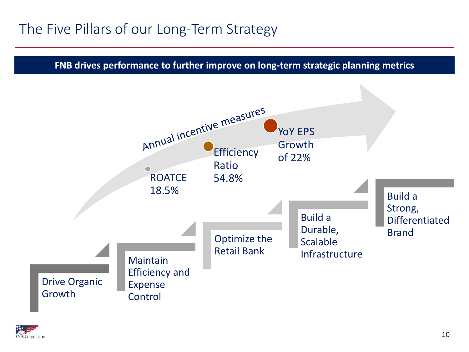## The Five Pillars of our Long-Term Strategy

**FNB drives performance to further improve on long-term strategic planning metrics**



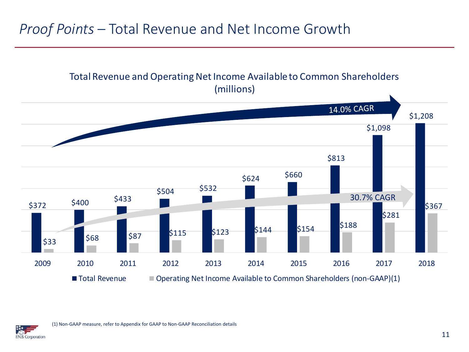#### *Proof Points* – Total Revenue and Net Income Growth

#### Total Revenue and Operating Net Income Available to Common Shareholders (millions)



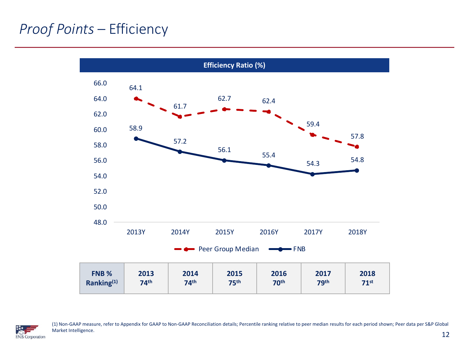## *Proof Points* – Efficiency





(1) Non-GAAP measure, refer to Appendix for GAAP to Non-GAAP Reconciliation details; Percentile ranking relative to peer median results for each period shown; Peer data per S&P Global Market Intelligence.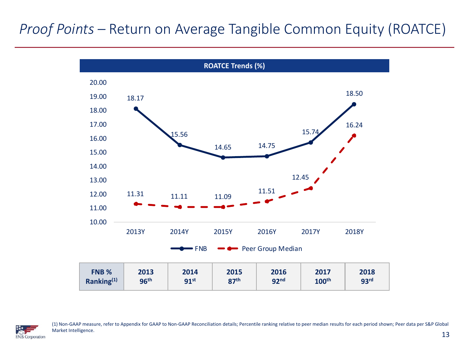## *Proof Points –* Return on Average Tangible Common Equity (ROATCE)





(1) Non-GAAP measure, refer to Appendix for GAAP to Non-GAAP Reconciliation details; Percentile ranking relative to peer median results for each period shown; Peer data per S&P Global Market Intelligence.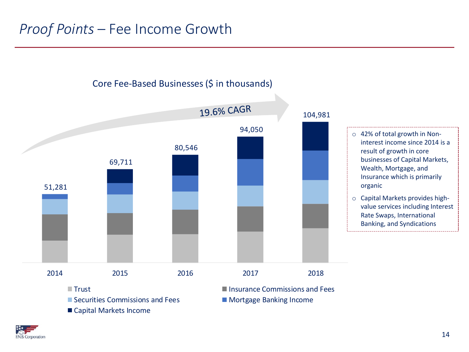

Securities Commissions and Fees Mortgage Banking Income

■ Capital Markets Income

**The Insurance Commissions and Fees Insurance Commissions and Fees** 

**EN.B. Corporation**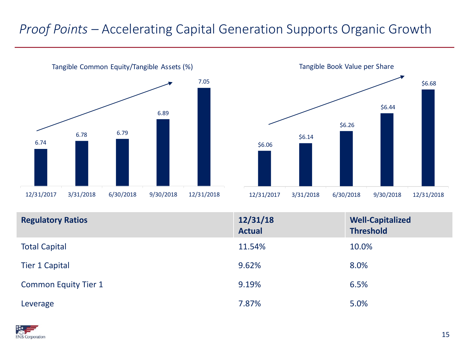#### *Proof Points –* Accelerating Capital Generation Supports Organic Growth





| <b>Regulatory Ratios</b>    | 12/31/18<br><b>Actual</b> | <b>Well-Capitalized</b><br><b>Threshold</b> |
|-----------------------------|---------------------------|---------------------------------------------|
| <b>Total Capital</b>        | 11.54%                    | 10.0%                                       |
| <b>Tier 1 Capital</b>       | 9.62%                     | 8.0%                                        |
| <b>Common Equity Tier 1</b> | 9.19%                     | 6.5%                                        |
| Leverage                    | 7.87%                     | 5.0%                                        |

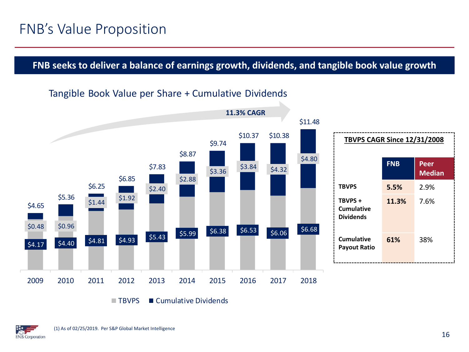#### **FNB seeks to deliver a balance of earnings growth, dividends, and tangible book value growth**

#### Tangible Book Value per Share + Cumulative Dividends



TBVPS Cumulative Dividends

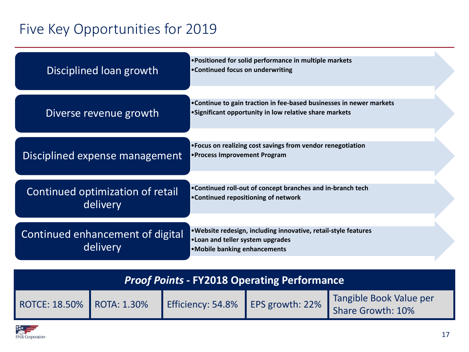## Five Key Opportunities for 2019

| Disciplined loan growth                      | • Positioned for solid performance in multiple markets<br>•Continued focus on underwriting                                           |
|----------------------------------------------|--------------------------------------------------------------------------------------------------------------------------------------|
| Diverse revenue growth                       | • Continue to gain traction in fee-based businesses in newer markets<br>• Significant opportunity in low relative share markets      |
| Disciplined expense management               | • Focus on realizing cost savings from vendor renegotiation<br>•Process Improvement Program                                          |
| Continued optimization of retail<br>delivery | •Continued roll-out of concept branches and in-branch tech<br>•Continued repositioning of network                                    |
| Continued enhancement of digital<br>delivery | . Website redesign, including innovative, retail-style features<br>. Loan and teller system upgrades<br>•Mobile banking enhancements |

| <b>Proof Points - FY2018 Operating Performance</b> |  |                                   |  |                                              |  |  |  |
|----------------------------------------------------|--|-----------------------------------|--|----------------------------------------------|--|--|--|
| ROTCE: 18.50%   ROTA: 1.30%                        |  | Efficiency: 54.8% EPS growth: 22% |  | Tangible Book Value per<br>Share Growth: 10% |  |  |  |

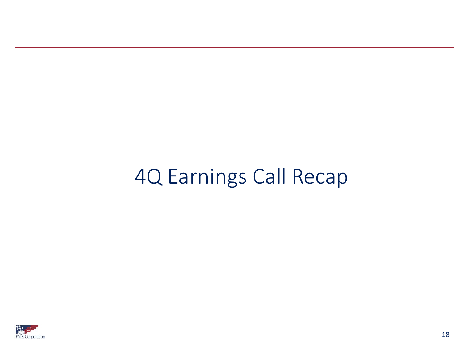# 4Q Earnings Call Recap

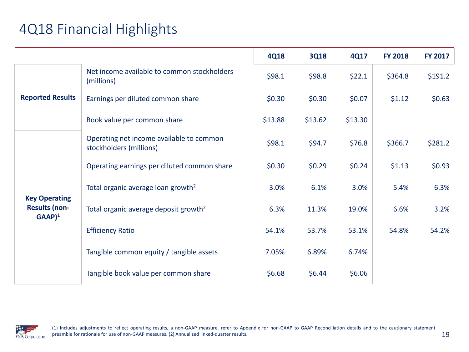## 4Q18 Financial Highlights

|                                                                     |                                                                     | <b>4Q18</b> | <b>3Q18</b> | 4Q17     | <b>FY 2018</b> | <b>FY 2017</b> |
|---------------------------------------------------------------------|---------------------------------------------------------------------|-------------|-------------|----------|----------------|----------------|
|                                                                     | Net income available to common stockholders<br>(millions)           | \$98.1      | \$98.8      | \$22.1   | \$364.8        | \$191.2        |
| <b>Reported Results</b>                                             | Earnings per diluted common share                                   | \$0.30      | \$0.30      | \$0.07   | \$1.12         | \$0.63         |
|                                                                     | Book value per common share                                         | \$13.88     | \$13.62     | \$13.30  |                |                |
|                                                                     | Operating net income available to common<br>stockholders (millions) | \$98.1      | \$94.7      | \$76.8   | \$366.7        | \$281.2        |
|                                                                     | Operating earnings per diluted common share                         | \$0.30      | \$0.29      | \$0.24\$ | \$1.13         | \$0.93         |
|                                                                     | Total organic average loan growth <sup>2</sup>                      | 3.0%        | 6.1%        | 3.0%     | 5.4%           | 6.3%           |
| <b>Key Operating</b><br><b>Results (non-</b><br>$GAAP$ <sup>1</sup> | Total organic average deposit growth <sup>2</sup>                   | 6.3%        | 11.3%       | 19.0%    | 6.6%           | 3.2%           |
|                                                                     | <b>Efficiency Ratio</b>                                             | 54.1%       | 53.7%       | 53.1%    | 54.8%          | 54.2%          |
|                                                                     | Tangible common equity / tangible assets                            | 7.05%       | 6.89%       | 6.74%    |                |                |
|                                                                     | Tangible book value per common share                                | \$6.68      | \$6.44      | \$6.06   |                |                |

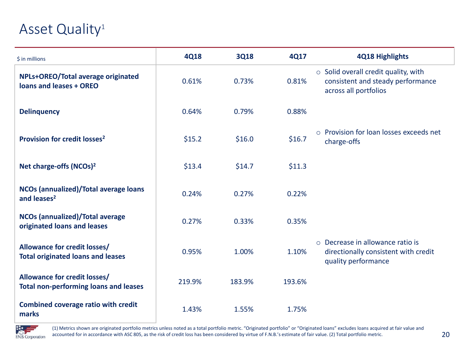#### Asset Quality<sup>1</sup>

| \$ in millions                                                                      | <b>4Q18</b> | <b>3Q18</b> | <b>4Q17</b> | 4Q18 Highlights                                                                                          |
|-------------------------------------------------------------------------------------|-------------|-------------|-------------|----------------------------------------------------------------------------------------------------------|
| NPLs+OREO/Total average originated<br>loans and leases + OREO                       | 0.61%       | 0.73%       | 0.81%       | $\circ$ Solid overall credit quality, with<br>consistent and steady performance<br>across all portfolios |
| <b>Delinquency</b>                                                                  | 0.64%       | 0.79%       | 0.88%       |                                                                                                          |
| Provision for credit losses <sup>2</sup>                                            | \$15.2      | \$16.0      | \$16.7      | o Provision for loan losses exceeds net<br>charge-offs                                                   |
| Net charge-offs (NCOs) <sup>2</sup>                                                 | \$13.4      | \$14.7      | \$11.3      |                                                                                                          |
| NCOs (annualized)/Total average loans<br>and leases <sup>2</sup>                    | 0.24%       | 0.27%       | 0.22%       |                                                                                                          |
| <b>NCOs (annualized)/Total average</b><br>originated loans and leases               | 0.27%       | 0.33%       | 0.35%       |                                                                                                          |
| Allowance for credit losses/<br><b>Total originated loans and leases</b>            | 0.95%       | 1.00%       | 1.10%       | ○ Decrease in allowance ratio is<br>directionally consistent with credit<br>quality performance          |
| <b>Allowance for credit losses/</b><br><b>Total non-performing loans and leases</b> | 219.9%      | 183.9%      | 193.6%      |                                                                                                          |
| <b>Combined coverage ratio with credit</b><br>marks                                 | 1.43%       | 1.55%       | 1.75%       |                                                                                                          |



(1) Metrics shown are originated portfolio metrics unless noted as a total portfolio metric. "Originated portfolio" or "Originated loans" excludes loans acquired at fair value and accounted for in accordance with ASC 805, as the risk of credit loss has been considered by virtue of F.N.B.'s estimate of fair value. (2) Total portfolio metric.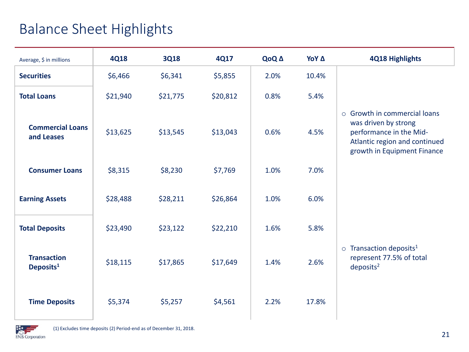## Balance Sheet Highlights

| Average, \$ in millions                     | <b>4Q18</b> | <b>3Q18</b> | 4Q17     | QoQ A | ΥοΥ Δ | <b>4Q18 Highlights</b>                                                                                                                                |
|---------------------------------------------|-------------|-------------|----------|-------|-------|-------------------------------------------------------------------------------------------------------------------------------------------------------|
| <b>Securities</b>                           | \$6,466     | \$6,341     | \$5,855  | 2.0%  | 10.4% |                                                                                                                                                       |
| <b>Total Loans</b>                          | \$21,940    | \$21,775    | \$20,812 | 0.8%  | 5.4%  |                                                                                                                                                       |
| <b>Commercial Loans</b><br>and Leases       | \$13,625    | \$13,545    | \$13,043 | 0.6%  | 4.5%  | $\circ$ Growth in commercial loans<br>was driven by strong<br>performance in the Mid-<br>Atlantic region and continued<br>growth in Equipment Finance |
| <b>Consumer Loans</b>                       | \$8,315     | \$8,230     | \$7,769  | 1.0%  | 7.0%  |                                                                                                                                                       |
| <b>Earning Assets</b>                       | \$28,488    | \$28,211    | \$26,864 | 1.0%  | 6.0%  |                                                                                                                                                       |
| <b>Total Deposits</b>                       | \$23,490    | \$23,122    | \$22,210 | 1.6%  | 5.8%  |                                                                                                                                                       |
| <b>Transaction</b><br>Deposits <sup>1</sup> | \$18,115    | \$17,865    | \$17,649 | 1.4%  | 2.6%  | $\circ$ Transaction deposits <sup>1</sup><br>represent 77.5% of total<br>deposits <sup>2</sup>                                                        |
| <b>Time Deposits</b>                        | \$5,374     | \$5,257     | \$4,561  | 2.2%  | 17.8% |                                                                                                                                                       |

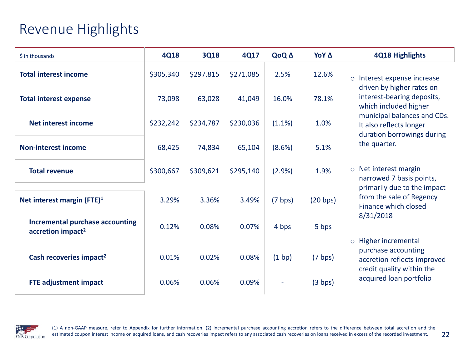#### Revenue Highlights

| \$ in thousands                                                         | <b>4Q18</b> | <b>3Q18</b> | 4Q17      | QoQ A     | YoY A    | <b>4Q18 Highlights</b>                                                                                  |
|-------------------------------------------------------------------------|-------------|-------------|-----------|-----------|----------|---------------------------------------------------------------------------------------------------------|
| <b>Total interest income</b>                                            | \$305,340   | \$297,815   | \$271,085 | 2.5%      | 12.6%    | o Interest expense increase                                                                             |
| <b>Total interest expense</b>                                           | 73,098      | 63,028      | 41,049    | 16.0%     | 78.1%    | driven by higher rates on<br>interest-bearing deposits,<br>which included higher                        |
| <b>Net interest income</b>                                              | \$232,242   | \$234,787   | \$230,036 | $(1.1\%)$ | 1.0%     | municipal balances and CDs.<br>It also reflects longer<br>duration borrowings during                    |
| <b>Non-interest income</b>                                              | 68,425      | 74,834      | 65,104    | (8.6%)    | 5.1%     | the quarter.                                                                                            |
| <b>Total revenue</b>                                                    | \$300,667   | \$309,621   | \$295,140 | (2.9%)    | 1.9%     | $\circ$ Net interest margin<br>narrowed 7 basis points,                                                 |
| Net interest margin (FTE) <sup>1</sup>                                  | 3.29%       | 3.36%       | 3.49%     | (7 bps)   | (20 bps) | primarily due to the impact<br>from the sale of Regency<br>Finance which closed<br>8/31/2018            |
| <b>Incremental purchase accounting</b><br>accretion impact <sup>2</sup> | 0.12%       | 0.08%       | 0.07%     | 4 bps     | 5 bps    |                                                                                                         |
| Cash recoveries impact <sup>2</sup>                                     | 0.01%       | 0.02%       | 0.08%     | (1 bp)    | (7 bps)  | o Higher incremental<br>purchase accounting<br>accretion reflects improved<br>credit quality within the |
| <b>FTE adjustment impact</b>                                            | 0.06%       | 0.06%       | 0.09%     |           | (3 bps)  | acquired loan portfolio                                                                                 |

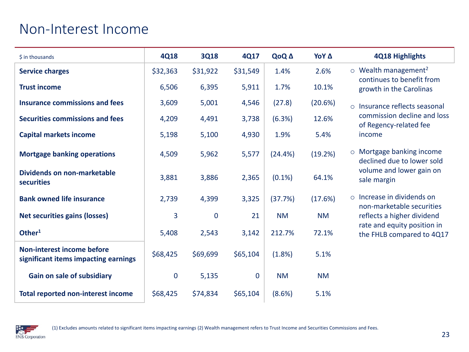#### Non-Interest Income

| \$ in thousands                                                           | <b>4Q18</b> | <b>3Q18</b>  | 4Q17        | QoQ A     | ΥοΥ Δ     | 4Q18 Highlights                                                  |
|---------------------------------------------------------------------------|-------------|--------------|-------------|-----------|-----------|------------------------------------------------------------------|
| <b>Service charges</b>                                                    | \$32,363    | \$31,922     | \$31,549    | 1.4%      | 2.6%      | $\circ$ Wealth management <sup>2</sup>                           |
| <b>Trust income</b>                                                       | 6,506       | 6,395        | 5,911       | 1.7%      | 10.1%     | continues to benefit from<br>growth in the Carolinas             |
| Insurance commissions and fees                                            | 3,609       | 5,001        | 4,546       | (27.8)    | (20.6%)   | o Insurance reflects seasonal                                    |
| <b>Securities commissions and fees</b>                                    | 4,209       | 4,491        | 3,738       | (6.3%)    | 12.6%     | commission decline and loss<br>of Regency-related fee            |
| <b>Capital markets income</b>                                             | 5,198       | 5,100        | 4,930       | 1.9%      | 5.4%      | income                                                           |
| <b>Mortgage banking operations</b>                                        | 4,509       | 5,962        | 5,577       | (24.4% )  | (19.2%)   | Mortgage banking income<br>$\circ$<br>declined due to lower sold |
| Dividends on non-marketable<br><b>securities</b>                          | 3,881       | 3,886        | 2,365       | $(0.1\%)$ | 64.1%     | volume and lower gain on<br>sale margin                          |
| <b>Bank owned life insurance</b>                                          | 2,739       | 4,399        | 3,325       | (37.7%)   | (17.6%)   | $\circ$ Increase in dividends on<br>non-marketable securities    |
| <b>Net securities gains (losses)</b>                                      | 3           | $\mathbf{0}$ | 21          | <b>NM</b> | <b>NM</b> | reflects a higher dividend                                       |
| Other <sup>1</sup>                                                        | 5,408       | 2,543        | 3,142       | 212.7%    | 72.1%     | rate and equity position in<br>the FHLB compared to 4Q17         |
| <b>Non-interest income before</b><br>significant items impacting earnings | \$68,425    | \$69,699     | \$65,104    | (1.8%)    | 5.1%      |                                                                  |
| Gain on sale of subsidiary                                                | $\mathbf 0$ | 5,135        | $\mathbf 0$ | <b>NM</b> | <b>NM</b> |                                                                  |
| <b>Total reported non-interest income</b>                                 | \$68,425    | \$74,834     | \$65,104    | (8.6%)    | 5.1%      |                                                                  |

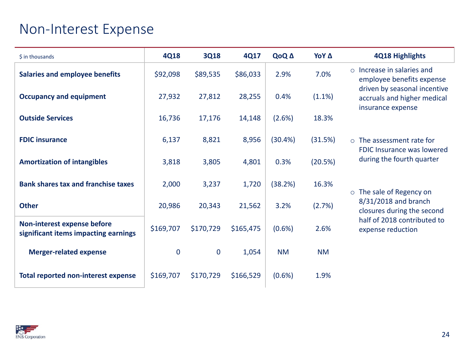#### Non-Interest Expense

| \$ in thousands                                                     | <b>4Q18</b> | <b>3Q18</b> | 4Q17      | QoQ A     | ΥοΥ Δ     | 4Q18 Highlights                                                                  |
|---------------------------------------------------------------------|-------------|-------------|-----------|-----------|-----------|----------------------------------------------------------------------------------|
| <b>Salaries and employee benefits</b>                               | \$92,098    | \$89,535    | \$86,033  | 2.9%      | 7.0%      | Increase in salaries and<br>$\circ$<br>employee benefits expense                 |
| <b>Occupancy and equipment</b>                                      | 27,932      | 27,812      | 28,255    | 0.4%      | (1.1%)    | driven by seasonal incentive<br>accruals and higher medical<br>insurance expense |
| <b>Outside Services</b>                                             | 16,736      | 17,176      | 14,148    | (2.6%)    | 18.3%     |                                                                                  |
| <b>FDIC insurance</b>                                               | 6,137       | 8,821       | 8,956     | (30.4%)   | (31.5%)   | $\circ$ The assessment rate for<br>FDIC Insurance was lowered                    |
| <b>Amortization of intangibles</b>                                  | 3,818       | 3,805       | 4,801     | 0.3%      | (20.5%)   | during the fourth quarter                                                        |
| <b>Bank shares tax and franchise taxes</b>                          | 2,000       | 3,237       | 1,720     | (38.2%)   | 16.3%     | o The sale of Regency on                                                         |
| <b>Other</b>                                                        | 20,986      | 20,343      | 21,562    | 3.2%      | (2.7%)    | 8/31/2018 and branch<br>closures during the second                               |
| Non-interest expense before<br>significant items impacting earnings | \$169,707   | \$170,729   | \$165,475 | $(0.6\%)$ | 2.6%      | half of 2018 contributed to<br>expense reduction                                 |
| <b>Merger-related expense</b>                                       | $\mathbf 0$ | 0           | 1,054     | <b>NM</b> | <b>NM</b> |                                                                                  |
| <b>Total reported non-interest expense</b>                          | \$169,707   | \$170,729   | \$166,529 | $(0.6\%)$ | 1.9%      |                                                                                  |

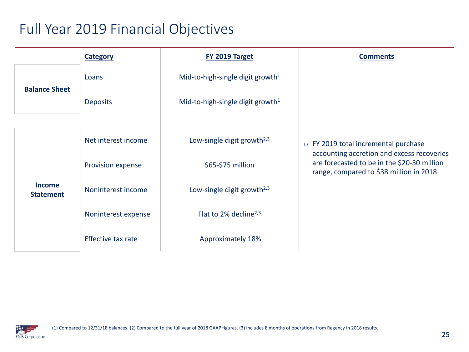## Full Year 2019 Financial Objectives

| <b>Category</b>                   |                     | FY 2019 Target                               | <b>Comments</b>                                                                                                                      |
|-----------------------------------|---------------------|----------------------------------------------|--------------------------------------------------------------------------------------------------------------------------------------|
| <b>Balance Sheet</b>              | Loans               | Mid-to-high-single digit growth <sup>1</sup> |                                                                                                                                      |
|                                   | <b>Deposits</b>     | Mid-to-high-single digit growth <sup>1</sup> |                                                                                                                                      |
|                                   |                     |                                              |                                                                                                                                      |
|                                   | Net interest income | Low-single digit growth <sup>2,3</sup>       | o FY 2019 total incremental purchase                                                                                                 |
|                                   | Provision expense   | \$65-\$75 million                            | accounting accretion and excess recoveries<br>are forecasted to be in the \$20-30 million<br>range, compared to \$38 million in 2018 |
| <b>Income</b><br><b>Statement</b> | Noninterest income  | Low-single digit growth <sup>2,3</sup>       |                                                                                                                                      |
|                                   | Noninterest expense | Flat to 2% decline <sup>2,3</sup>            |                                                                                                                                      |
|                                   | Effective tax rate  | Approximately 18%                            |                                                                                                                                      |

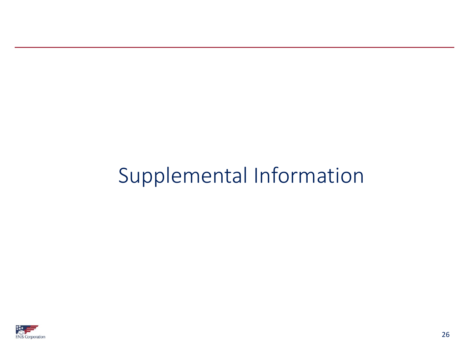# Supplemental Information

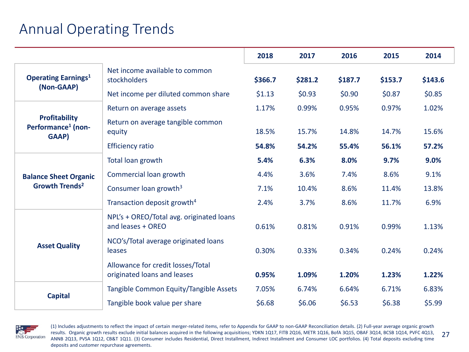## Annual Operating Trends

|                                                                 |                                                                  | 2018    | 2017    | 2016    | 2015    | 2014    |
|-----------------------------------------------------------------|------------------------------------------------------------------|---------|---------|---------|---------|---------|
| <b>Operating Earnings</b> <sup>1</sup><br>(Non-GAAP)            | Net income available to common<br>stockholders                   | \$366.7 | \$281.2 | \$187.7 | \$153.7 | \$143.6 |
|                                                                 | Net income per diluted common share                              | \$1.13  | \$0.93  | \$0.90  | \$0.87  | \$0.85  |
|                                                                 | Return on average assets                                         | 1.17%   | 0.99%   | 0.95%   | 0.97%   | 1.02%   |
| <b>Profitability</b><br>Performance <sup>1</sup> (non-<br>GAAP) | Return on average tangible common<br>equity                      | 18.5%   | 15.7%   | 14.8%   | 14.7%   | 15.6%   |
|                                                                 | <b>Efficiency ratio</b>                                          | 54.8%   | 54.2%   | 55.4%   | 56.1%   | 57.2%   |
|                                                                 | Total loan growth                                                | 5.4%    | 6.3%    | 8.0%    | 9.7%    | 9.0%    |
| <b>Balance Sheet Organic</b><br>Growth Trends <sup>2</sup>      | Commercial loan growth                                           | 4.4%    | 3.6%    | 7.4%    | 8.6%    | 9.1%    |
|                                                                 | Consumer loan growth <sup>3</sup>                                | 7.1%    | 10.4%   | 8.6%    | 11.4%   | 13.8%   |
|                                                                 | Transaction deposit growth <sup>4</sup>                          | 2.4%    | 3.7%    | 8.6%    | 11.7%   | 6.9%    |
|                                                                 | NPL's + OREO/Total avg. originated loans<br>and leases + OREO    | 0.61%   | 0.81%   | 0.91%   | 0.99%   | 1.13%   |
| <b>Asset Quality</b>                                            | NCO's/Total average originated loans<br>leases                   | 0.30%   | 0.33%   | 0.34%   | 0.24%   | 0.24%   |
|                                                                 | Allowance for credit losses/Total<br>originated loans and leases | 0.95%   | 1.09%   | 1.20%   | 1.23%   | 1.22%   |
|                                                                 | Tangible Common Equity/Tangible Assets                           | 7.05%   | 6.74%   | 6.64%   | 6.71%   | 6.83%   |
| <b>Capital</b>                                                  | Tangible book value per share                                    | \$6.68  | \$6.06  | \$6.53  | \$6.38  | \$5.99  |



27 (1) Includes adjustments to reflect the impact of certain merger-related items, refer to Appendix for GAAP to non-GAAP Reconciliation details. (2) Full-year average organic growth results. Organic growth results exclude initial balances acquired in the following acquisitions; YDKN 1Q17, FITB 2Q16, METR 1Q16, BofA 3Q15, OBAF 3Q14, BCSB 1Q14, PVFC 4Q13, ANNB 2Q13, PVSA 1Q12, CB&T 1Q11. (3) Consumer includes Residential, Direct Installment, Indirect Installment and Consumer LOC portfolios. (4) Total deposits excluding time deposits and customer repurchase agreements.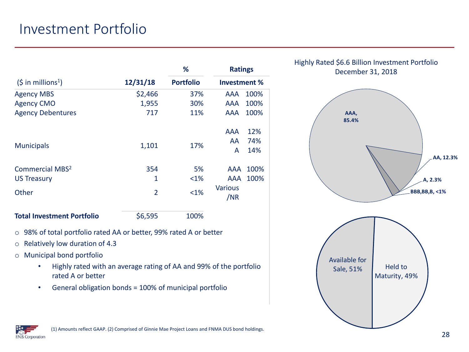#### Investment Portfolio

|                                                                                                  |                | %                | <b>Ratings</b>        |      |  |  |  |
|--------------------------------------------------------------------------------------------------|----------------|------------------|-----------------------|------|--|--|--|
| $(5 \text{ in millions}^1)$<br>12/31/18<br>\$2,466<br>1,955<br>717<br><b>Municipals</b><br>1,101 |                | <b>Portfolio</b> | Investment %          |      |  |  |  |
| <b>Agency MBS</b>                                                                                |                | 37%              | AAA                   | 100% |  |  |  |
| <b>Agency CMO</b>                                                                                |                | 30%              | AAA                   | 100% |  |  |  |
| <b>Agency Debentures</b>                                                                         |                | 11%              | AAA                   | 100% |  |  |  |
|                                                                                                  |                |                  | AAA                   | 12%  |  |  |  |
|                                                                                                  |                | 17%              | AA.                   | 74%  |  |  |  |
|                                                                                                  |                |                  |                       |      |  |  |  |
| <b>Commercial MBS<sup>2</sup></b>                                                                | 354            | 5%               | AAA                   | 100% |  |  |  |
| <b>US Treasury</b>                                                                               | 1              | $<1\%$           | AAA                   | 100% |  |  |  |
| Other                                                                                            | $\overline{2}$ | <1%              | <b>Various</b><br>/NR |      |  |  |  |
| <b>Total Investment Portfolio</b>                                                                | \$6,595        | 100%             |                       |      |  |  |  |

o 98% of total portfolio rated AA or better, 99% rated A or better

- o Relatively low duration of 4.3
- o Municipal bond portfolio
	- Highly rated with an average rating of AA and 99% of the portfolio rated A or better
	- General obligation bonds = 100% of municipal portfolio



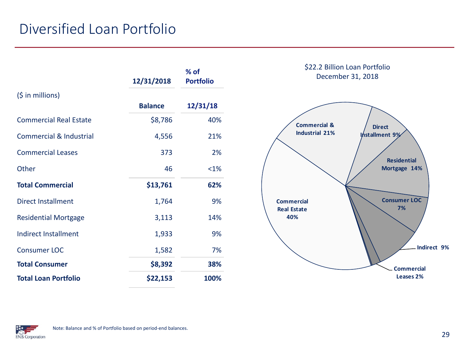## Diversified Loan Portfolio

|                                    | 12/31/2018     | $%$ of<br><b>Portfolio</b> |
|------------------------------------|----------------|----------------------------|
| $(5$ in millions)                  | <b>Balance</b> | 12/31/18                   |
|                                    |                |                            |
| <b>Commercial Real Estate</b>      | \$8,786        | 40%                        |
| <b>Commercial &amp; Industrial</b> | 4,556          | 21%                        |
| <b>Commercial Leases</b>           | 373            | 2%                         |
| Other                              | 46             | $<1\%$                     |
| <b>Total Commercial</b>            | \$13,761       | 62%                        |
| <b>Direct Installment</b>          | 1,764          | 9%                         |
| <b>Residential Mortgage</b>        | 3,113          | 14%                        |
| <b>Indirect Installment</b>        | 1,933          | 9%                         |
| <b>Consumer LOC</b>                | 1,582          | 7%                         |
| <b>Total Consumer</b>              | \$8,392        | 38%                        |
| <b>Total Loan Portfolio</b>        | \$22,153       | 100%                       |



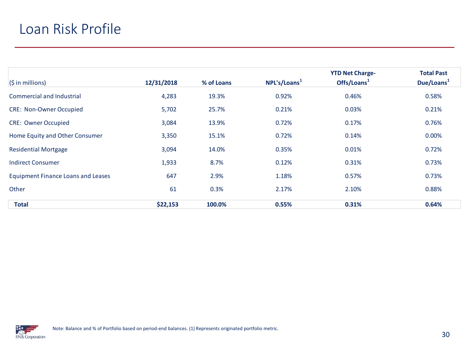#### Loan Risk Profile

|                                           |            |            |                          | <b>YTD Net Charge-</b>  | <b>Total Past</b>      |
|-------------------------------------------|------------|------------|--------------------------|-------------------------|------------------------|
| $(\sin$ millions)                         | 12/31/2018 | % of Loans | NPL's/Loans <sup>1</sup> | Offs/Loans <sup>1</sup> | Due/Loans <sup>1</sup> |
| Commercial and Industrial                 | 4,283      | 19.3%      | 0.92%                    | 0.46%                   | 0.58%                  |
| <b>CRE: Non-Owner Occupied</b>            | 5,702      | 25.7%      | 0.21%                    | 0.03%                   | 0.21%                  |
| <b>CRE: Owner Occupied</b>                | 3,084      | 13.9%      | 0.72%                    | 0.17%                   | 0.76%                  |
| Home Equity and Other Consumer            | 3,350      | 15.1%      | 0.72%                    | 0.14%                   | 0.00%                  |
| <b>Residential Mortgage</b>               | 3,094      | 14.0%      | 0.35%                    | 0.01%                   | 0.72%                  |
| <b>Indirect Consumer</b>                  | 1,933      | 8.7%       | 0.12%                    | 0.31%                   | 0.73%                  |
| <b>Equipment Finance Loans and Leases</b> | 647        | 2.9%       | 1.18%                    | 0.57%                   | 0.73%                  |
| Other                                     | 61         | 0.3%       | 2.17%                    | 2.10%                   | 0.88%                  |
| <b>Total</b>                              | \$22,153   | 100.0%     | 0.55%                    | 0.31%                   | 0.64%                  |

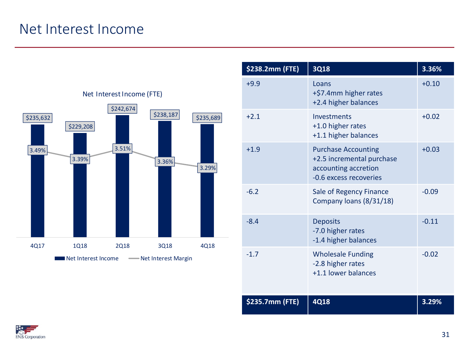#### Net Interest Income



| \$238.2mm (FTE) | <b>3Q18</b>                                                                                               | 3.36%   |
|-----------------|-----------------------------------------------------------------------------------------------------------|---------|
| $+9.9$          | Loans<br>+\$7.4mm higher rates<br>+2.4 higher balances                                                    | $+0.10$ |
| $+2.1$          | Investments<br>+1.0 higher rates<br>+1.1 higher balances                                                  | $+0.02$ |
| $+1.9$          | <b>Purchase Accounting</b><br>+2.5 incremental purchase<br>accounting accretion<br>-0.6 excess recoveries | $+0.03$ |
| $-6.2$          | Sale of Regency Finance<br>Company loans (8/31/18)                                                        | $-0.09$ |
| $-8.4$          | <b>Deposits</b><br>-7.0 higher rates<br>-1.4 higher balances                                              | $-0.11$ |
| $-1.7$          | <b>Wholesale Funding</b><br>-2.8 higher rates<br>+1.1 lower balances                                      | $-0.02$ |
| \$235.7mm (FTE) | 4Q18                                                                                                      | 3.29%   |

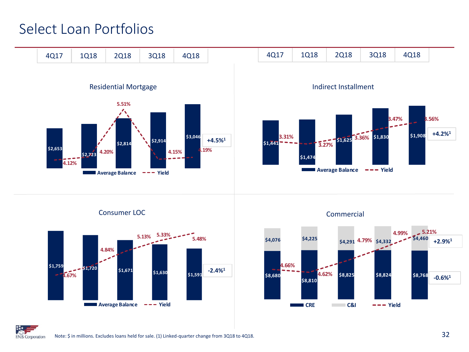#### Select Loan Portfolios



Consumer LOC



Commercial



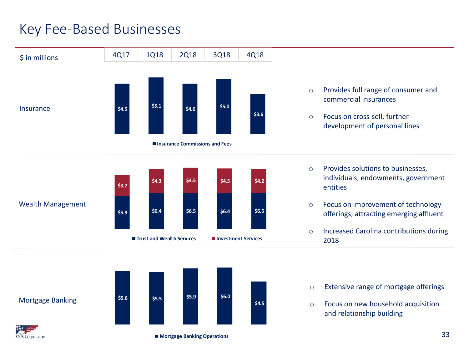#### Key Fee-Based Businesses

**EN.B. Corporation** 



■ Mortgage Banking Operations

33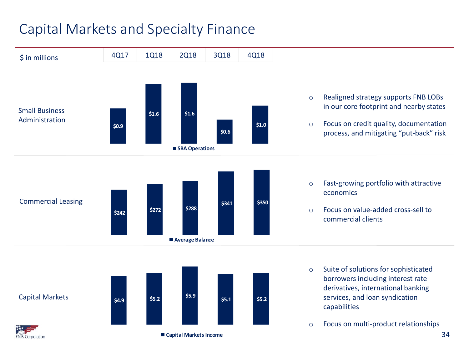#### Capital Markets and Specialty Finance

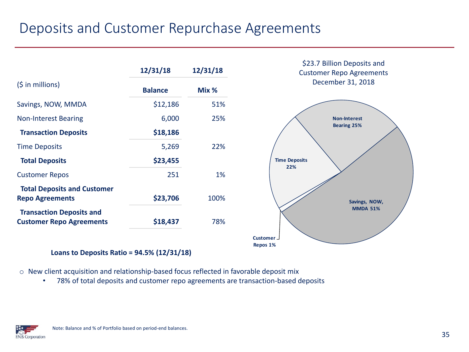#### Deposits and Customer Repurchase Agreements

|                                                                    | 12/31/18       | 12/31/18 | \$23.7 Billion Deposits and<br><b>Customer Repo Agreements</b> |
|--------------------------------------------------------------------|----------------|----------|----------------------------------------------------------------|
| $(\frac{1}{2} in millions)$                                        | <b>Balance</b> | Mix %    | December 31, 2018                                              |
| Savings, NOW, MMDA                                                 | \$12,186       | 51%      |                                                                |
| <b>Non-Interest Bearing</b>                                        | 6,000          | 25%      | <b>Non-Interest</b>                                            |
| <b>Transaction Deposits</b>                                        | \$18,186       |          | <b>Bearing 25%</b>                                             |
| <b>Time Deposits</b>                                               | 5,269          | 22%      |                                                                |
| <b>Total Deposits</b>                                              | \$23,455       |          | <b>Time Deposits</b><br>22%                                    |
| <b>Customer Repos</b>                                              | 251            | 1%       |                                                                |
| <b>Total Deposits and Customer</b><br><b>Repo Agreements</b>       | \$23,706       | 100%     | Savings, NOW,                                                  |
| <b>Transaction Deposits and</b><br><b>Customer Repo Agreements</b> | \$18,437       | 78%      | <b>MMDA 51%</b>                                                |
|                                                                    |                |          | Customer <sub>-</sub>                                          |

**Repos 1 %**

**Loans to Deposits Ratio = 94.5% (12/31/18)**

o New client acquisition and relationship-based focus reflected in favorable deposit mix

• 78% of total deposits and customer repo agreements are transaction-based deposits

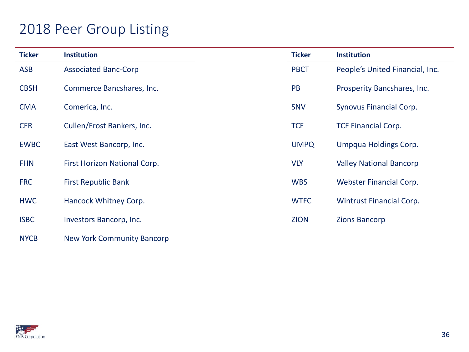#### 2018 Peer Group Listing

| <b>Ticker</b> | <b>Institution</b>                | <b>Ticker</b> | <b>Institution</b>              |
|---------------|-----------------------------------|---------------|---------------------------------|
| <b>ASB</b>    | <b>Associated Banc-Corp</b>       | <b>PBCT</b>   | People's United Financial, Inc. |
| <b>CBSH</b>   | Commerce Bancshares, Inc.         | PB            | Prosperity Bancshares, Inc.     |
| <b>CMA</b>    | Comerica, Inc.                    | <b>SNV</b>    | Synovus Financial Corp.         |
| <b>CFR</b>    | Cullen/Frost Bankers, Inc.        | <b>TCF</b>    | <b>TCF Financial Corp.</b>      |
| <b>EWBC</b>   | East West Bancorp, Inc.           | <b>UMPQ</b>   | Umpqua Holdings Corp.           |
| <b>FHN</b>    | First Horizon National Corp.      | <b>VLY</b>    | <b>Valley National Bancorp</b>  |
| <b>FRC</b>    | <b>First Republic Bank</b>        | <b>WBS</b>    | <b>Webster Financial Corp.</b>  |
| <b>HWC</b>    | Hancock Whitney Corp.             | <b>WTFC</b>   | <b>Wintrust Financial Corp.</b> |
| <b>ISBC</b>   | Investors Bancorp, Inc.           | <b>ZION</b>   | <b>Zions Bancorp</b>            |
| <b>NYCB</b>   | <b>New York Community Bancorp</b> |               |                                 |

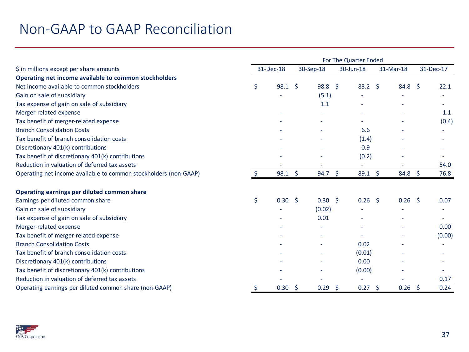|                                                                  | For The Quarter Ended |                |           |                   |           |                |           |             |              |        |
|------------------------------------------------------------------|-----------------------|----------------|-----------|-------------------|-----------|----------------|-----------|-------------|--------------|--------|
| \$ in millions except per share amounts                          | 31-Dec-18             |                | 30-Sep-18 |                   | 30-Jun-18 |                | 31-Mar-18 |             | 31-Dec-17    |        |
| Operating net income available to common stockholders            |                       |                |           |                   |           |                |           |             |              |        |
| Net income available to common stockholders                      | \$                    | $98.1 \quad $$ |           | 98.8 <sup>5</sup> |           | $83.2 \quad $$ |           | $84.8\quad$ |              | 22.1   |
| Gain on sale of subsidiary                                       |                       |                |           | (5.1)             |           |                |           |             |              |        |
| Tax expense of gain on sale of subsidiary                        |                       |                |           | 1.1               |           |                |           |             |              |        |
| Merger-related expense                                           |                       |                |           |                   |           |                |           |             |              | 1.1    |
| Tax benefit of merger-related expense                            |                       |                |           |                   |           |                |           |             |              | (0.4)  |
| <b>Branch Consolidation Costs</b>                                |                       |                |           |                   |           | 6.6            |           |             |              |        |
| Tax benefit of branch consolidation costs                        |                       |                |           |                   |           | (1.4)          |           |             |              |        |
| Discretionary 401(k) contributions                               |                       |                |           |                   |           | 0.9            |           |             |              |        |
| Tax benefit of discretionary 401(k) contributions                |                       |                |           |                   |           | (0.2)          |           |             |              |        |
| Reduction in valuation of deferred tax assets                    |                       |                |           |                   |           |                |           |             |              | 54.0   |
| Operating net income available to common stockholders (non-GAAP) | Ś.                    | 98.1           | \$        | 94.7              | \$.       | 89.1           | Ŝ.        | 84.8        | <sup>S</sup> | 76.8   |
| Operating earnings per diluted common share                      |                       |                |           |                   |           |                |           |             |              |        |
| Earnings per diluted common share                                | \$                    | $0.30 \quad $$ |           | $0.30 \quad $5$   |           | $0.26$ \$      |           | $0.26$ \$   |              | 0.07   |
| Gain on sale of subsidiary                                       |                       |                |           | (0.02)            |           |                |           |             |              |        |
| Tax expense of gain on sale of subsidiary                        |                       |                |           | 0.01              |           |                |           |             |              |        |
| Merger-related expense                                           |                       |                |           |                   |           |                |           |             |              | 0.00   |
| Tax benefit of merger-related expense                            |                       |                |           |                   |           |                |           |             |              | (0.00) |
| <b>Branch Consolidation Costs</b>                                |                       |                |           |                   |           | 0.02           |           |             |              |        |
| Tax benefit of branch consolidation costs                        |                       |                |           |                   |           | (0.01)         |           |             |              |        |
| Discretionary 401(k) contributions                               |                       |                |           |                   |           | 0.00           |           |             |              |        |
| Tax benefit of discretionary 401(k) contributions                |                       |                |           |                   |           | (0.00)         |           |             |              |        |
| Reduction in valuation of deferred tax assets                    |                       |                |           |                   |           |                |           |             |              | 0.17   |
| Operating earnings per diluted common share (non-GAAP)           | \$                    | 0.30           | -Ś        | 0.29              | \$        | 0.27           | - \$      | 0.26        | -\$          | 0.24   |

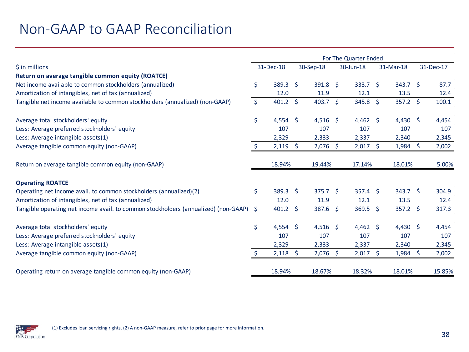|                                                                                     | For The Quarter Ended |                 |    |                 |    |                    |  |                    |           |
|-------------------------------------------------------------------------------------|-----------------------|-----------------|----|-----------------|----|--------------------|--|--------------------|-----------|
| \$ in millions                                                                      |                       | 31-Dec-18       |    | 30-Sep-18       |    | 30-Jun-18          |  | 31-Mar-18          | 31-Dec-17 |
| Return on average tangible common equity (ROATCE)                                   |                       |                 |    |                 |    |                    |  |                    |           |
| Net income available to common stockholders (annualized)                            | Ś.                    | $389.3 \quad $$ |    | $391.8 \quad $$ |    | 333.7 <sup>5</sup> |  | 343.7 <sup>5</sup> | 87.7      |
| Amortization of intangibles, net of tax (annualized)                                |                       | 12.0            |    | 11.9            |    | 12.1               |  | 13.5               | 12.4      |
| Tangible net income available to common stockholders (annualized) (non-GAAP)        | Ŝ.                    | 401.2           | Ŝ. | 403.7           | \$ | $345.8 \div$       |  | $357.2 \div$       | 100.1     |
| Average total stockholders' equity                                                  | \$                    | $4,554$ \$      |    | $4,516$ \$      |    | $4,462$ \$         |  | 4,430 \$           | 4,454     |
| Less: Average preferred stockholders' equity                                        |                       | 107             |    | 107             |    | 107                |  | 107                | 107       |
| Less: Average intangible assets(1)                                                  |                       | 2,329           |    | 2,333           |    | 2,337              |  | 2,340              | 2,345     |
| Average tangible common equity (non-GAAP)                                           |                       | 2,119           | Ŝ. | 2,076           | S. | $2,017$ \$         |  | $1,984$ \$         | 2,002     |
| Return on average tangible common equity (non-GAAP)                                 |                       | 18.94%          |    | 19.44%          |    | 17.14%             |  | 18.01%             | 5.00%     |
| <b>Operating ROATCE</b>                                                             |                       |                 |    |                 |    |                    |  |                    |           |
| Operating net income avail. to common stockholders (annualized)(2)                  | \$                    | 389.3 \$        |    | $375.7$ \$      |    | $357.4$ \$         |  | $343.7$ \$         | 304.9     |
| Amortization of intangibles, net of tax (annualized)                                |                       | 12.0            |    | 11.9            |    | 12.1               |  | 13.5               | 12.4      |
| Tangible operating net income avail. to common stockholders (annualized) (non-GAAP) | $\ddot{\mathsf{S}}$   | 401.2           | S. | 387.6           | S. | $369.5$ \$         |  | $357.2 \div$       | 317.3     |
| Average total stockholders' equity                                                  | \$                    | $4,554$ \$      |    | $4,516$ \$      |    | 4,462 \$           |  | 4,430 \$           | 4,454     |
| Less: Average preferred stockholders' equity                                        |                       | 107             |    | 107             |    | 107                |  | 107                | 107       |
| Less: Average intangible assets(1)                                                  |                       | 2,329           |    | 2,333           |    | 2,337              |  | 2,340              | 2,345     |
| Average tangible common equity (non-GAAP)                                           |                       | 2,118           | -S | $2,076$ \$      |    | $2,017$ \$         |  | $1,984$ \$         | 2,002     |
| Operating return on average tangible common equity (non-GAAP)                       |                       | 18.94%          |    | 18.67%          |    | 18.32%             |  | 18.01%             | 15.85%    |

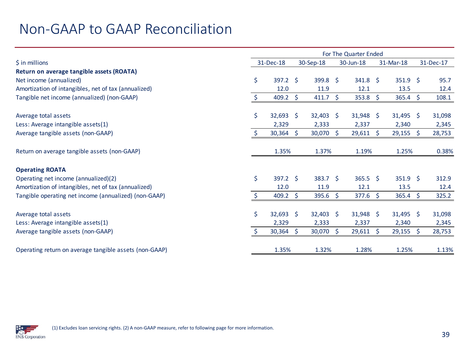|                                                        | For The Quarter Ended |              |    |                    |                        |                           |     |               |    |        |
|--------------------------------------------------------|-----------------------|--------------|----|--------------------|------------------------|---------------------------|-----|---------------|----|--------|
| $\frac{1}{2}$ in millions                              |                       | 31-Dec-18    |    | 30-Sep-18          | 31-Mar-18<br>30-Jun-18 |                           |     | 31-Dec-17     |    |        |
| Return on average tangible assets (ROATA)              |                       |              |    |                    |                        |                           |     |               |    |        |
| Net income (annualized)                                | \$                    | $397.2$ \$   |    | $399.8 \quad $$    |                        | $341.8 \; \simeq$         |     | $351.9$ \$    |    | 95.7   |
| Amortization of intangibles, net of tax (annualized)   |                       | 12.0         |    | 11.9               |                        | 12.1                      |     | 13.5          |    | 12.4   |
| Tangible net income (annualized) (non-GAAP)            | \$                    | 409.2        | Ŝ. | 411.7              | $\ddot{\mathsf{S}}$    | $353.8 \quad \frac{2}{5}$ |     | $365.4 \div$  |    | 108.1  |
|                                                        |                       |              |    |                    |                        |                           |     |               |    |        |
| Average total assets                                   | \$                    | $32,693$ \$  |    | $32,403$ \$        |                        | $31,948$ \$               |     | $31,495$ \$   |    | 31,098 |
| Less: Average intangible assets(1)                     |                       | 2,329        |    | 2,333              |                        | 2,337                     |     | 2,340         |    | 2,345  |
| Average tangible assets (non-GAAP)                     |                       | $30,364$ \$  |    | 30,070             | -Ŝ                     | $29,611$ \$               |     | $29,155$ \$   |    | 28,753 |
|                                                        |                       |              |    |                    |                        |                           |     |               |    |        |
| Return on average tangible assets (non-GAAP)           |                       | 1.35%        |    | 1.37%              |                        | 1.19%                     |     | 1.25%         |    | 0.38%  |
|                                                        |                       |              |    |                    |                        |                           |     |               |    |        |
| <b>Operating ROATA</b>                                 |                       |              |    |                    |                        |                           |     |               |    |        |
| Operating net income (annualized)(2)                   | \$                    | 397.2 \$     |    | 383.7 <sup>5</sup> |                        | $365.5$ \$                |     | $351.9 \pm 5$ |    | 312.9  |
| Amortization of intangibles, net of tax (annualized)   |                       | 12.0         |    | 11.9               |                        | 12.1                      |     | 13.5          |    | 12.4   |
| Tangible operating net income (annualized) (non-GAAP)  |                       | $409.2 \div$ |    | 395.6              | -Ś                     | $377.6 \quad $$           |     | 365.4         | -Ś | 325.2  |
|                                                        |                       |              |    |                    |                        |                           |     |               |    |        |
| Average total assets                                   | \$                    | $32,693$ \$  |    | $32,403$ \$        |                        | $31,948$ \$               |     | $31,495$ \$   |    | 31,098 |
| Less: Average intangible assets(1)                     |                       | 2,329        |    | 2,333              |                        | 2,337                     |     | 2,340         |    | 2,345  |
| Average tangible assets (non-GAAP)                     |                       | $30,364$ \$  |    | 30,070             | <sup>S</sup>           | 29,611                    | - Ś | 29,155        | -S | 28,753 |
|                                                        |                       |              |    |                    |                        |                           |     |               |    |        |
| Operating return on average tangible assets (non-GAAP) |                       | 1.35%        |    | 1.32%              |                        | 1.28%                     |     | 1.25%         |    | 1.13%  |

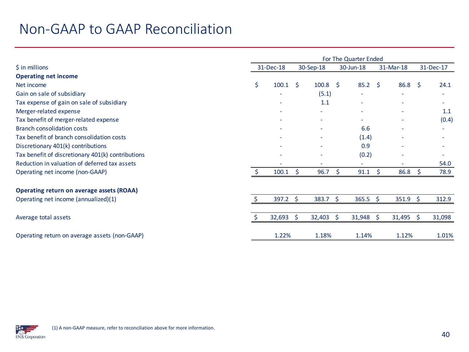|                                                   | For The Quarter Ended |                           |              |                           |           |                          |   |                   |              |        |  |
|---------------------------------------------------|-----------------------|---------------------------|--------------|---------------------------|-----------|--------------------------|---|-------------------|--------------|--------|--|
| $$$ in millions                                   | 31-Dec-18             |                           | 30-Sep-18    |                           | 30-Jun-18 |                          |   | 31-Mar-18         | 31-Dec-17    |        |  |
| <b>Operating net income</b>                       |                       |                           |              |                           |           |                          |   |                   |              |        |  |
| Net income                                        | \$                    | $100.1 \quad \frac{1}{5}$ |              | $100.8 \quad \frac{2}{3}$ |           | $85.2 \quad$             |   | 86.8              | S.           | 24.1   |  |
| Gain on sale of subsidiary                        |                       |                           |              | (5.1)                     |           |                          |   |                   |              | ۰      |  |
| Tax expense of gain on sale of subsidiary         |                       |                           |              | 1.1                       |           |                          |   |                   |              |        |  |
| Merger-related expense                            |                       |                           |              |                           |           |                          |   |                   |              | 1.1    |  |
| Tax benefit of merger-related expense             |                       |                           |              | ٠                         |           | $\overline{\phantom{0}}$ |   |                   |              | (0.4)  |  |
| <b>Branch consolidation costs</b>                 |                       |                           |              |                           |           | 6.6                      |   |                   |              |        |  |
| Tax benefit of branch consolidation costs         |                       |                           |              |                           |           | (1.4)                    |   |                   |              |        |  |
| Discretionary 401(k) contributions                |                       |                           |              |                           |           | 0.9                      |   |                   |              |        |  |
| Tax benefit of discretionary 401(k) contributions |                       |                           |              |                           |           | (0.2)                    |   |                   |              |        |  |
| Reduction in valuation of deferred tax assets     |                       |                           |              |                           |           |                          |   |                   |              | 54.0   |  |
| Operating net income (non-GAAP)                   |                       | 100.1                     | Ś.           | 96.7                      | S         | 91.1                     | S | 86.8              | <sup>S</sup> | 78.9   |  |
| <b>Operating return on average assets (ROAA)</b>  |                       |                           |              |                           |           |                          |   |                   |              |        |  |
| Operating net income (annualized)(1)              |                       | $397.2 \div$              |              | $383.7 \quad $$           |           | $365.5$ \$               |   | $351.9 \; \simeq$ |              | 312.9  |  |
|                                                   |                       |                           |              |                           |           |                          |   |                   |              |        |  |
| Average total assets                              |                       | 32,693                    | <sup>S</sup> | 32,403                    | Ŝ.        | $31,948$ \$              |   | $31,495$ \$       |              | 31,098 |  |
| Operating return on average assets (non-GAAP)     |                       | 1.22%                     |              | 1.18%                     |           | 1.14%                    |   | 1.12%             |              | 1.01%  |  |

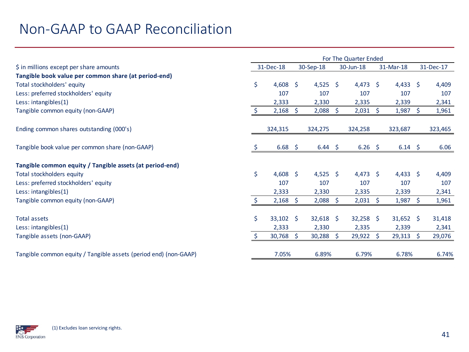|                                                                  |              | For The Quarter Ended |           |             |                     |                 |           |              |  |           |  |
|------------------------------------------------------------------|--------------|-----------------------|-----------|-------------|---------------------|-----------------|-----------|--------------|--|-----------|--|
| \$ in millions except per share amounts                          |              | 31-Dec-18             | 30-Sep-18 |             | 30-Jun-18           |                 | 31-Mar-18 |              |  | 31-Dec-17 |  |
| Tangible book value per common share (at period-end)             |              |                       |           |             |                     |                 |           |              |  |           |  |
| Total stockholders' equity                                       | \$           | 4,608 \$              |           | $4,525$ \$  |                     | $4,473$ \$      |           | $4,433$ \$   |  | 4,409     |  |
| Less: preferred stockholders' equity                             |              | 107                   |           | 107         |                     | 107             |           | 107          |  | 107       |  |
| Less: intangibles(1)                                             |              | 2,333                 |           | 2,330       |                     | 2,335           |           | 2,339        |  | 2,341     |  |
| Tangible common equity (non-GAAP)                                | <sup>5</sup> | $2,168$ \$            |           | 2,088       | $\ddot{\mathsf{S}}$ | $2,031 \quad $$ |           | $1,987$ \$   |  | 1,961     |  |
| Ending common shares outstanding (000's)                         |              | 324,315               |           | 324,275     |                     | 324,258         |           | 323,687      |  | 323,465   |  |
| Tangible book value per common share (non-GAAP)                  | Ş            | $6.68$ \$             |           | $6.44 \div$ |                     | $6.26$ \$       |           | $6.14 \quad$ |  | 6.06      |  |
| Tangible common equity / Tangible assets (at period-end)         |              |                       |           |             |                     |                 |           |              |  |           |  |
| Total stockholders equity                                        | \$           | 4,608 \$              |           | $4,525$ \$  |                     | $4,473$ \$      |           | $4,433$ \$   |  | 4,409     |  |
| Less: preferred stockholders' equity                             |              | 107                   |           | 107         |                     | 107             |           | 107          |  | 107       |  |
| Less: intangibles(1)                                             |              | 2,333                 |           | 2,330       |                     | 2,335           |           | 2,339        |  | 2,341     |  |
| Tangible common equity (non-GAAP)                                | -\$          | $2,168$ \$            |           | 2,088       | -\$                 | $2,031 \quad $$ |           | $1,987$ \$   |  | 1,961     |  |
| <b>Total assets</b>                                              | \$           | $33,102$ \$           |           | $32,618$ \$ |                     | $32,258$ \$     |           | $31,652$ \$  |  | 31,418    |  |
| Less: intangibles(1)                                             |              | 2,333                 |           | 2,330       |                     | 2,335           |           | 2,339        |  | 2,341     |  |
| Tangible assets (non-GAAP)                                       | \$           | $30,768$ \$           |           | $30,288$ \$ |                     | $29,922$ \$     |           | $29,313$ \$  |  | 29,076    |  |
| Tangible common equity / Tangible assets (period end) (non-GAAP) |              | 7.05%                 |           | 6.89%       |                     | 6.79%           |           | 6.78%        |  | 6.74%     |  |

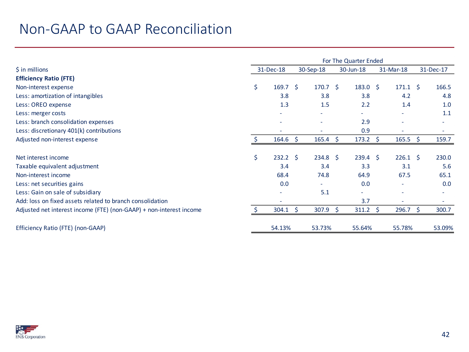|                                                                     | For The Quarter Ended |                          |           |                          |           |                  |           |                          |    |           |
|---------------------------------------------------------------------|-----------------------|--------------------------|-----------|--------------------------|-----------|------------------|-----------|--------------------------|----|-----------|
| $\frac{1}{2}$ in millions                                           |                       | 31-Dec-18                | 30-Sep-18 |                          | 30-Jun-18 |                  | 31-Mar-18 |                          |    | 31-Dec-17 |
| <b>Efficiency Ratio (FTE)</b>                                       |                       |                          |           |                          |           |                  |           |                          |    |           |
| Non-interest expense                                                | \$                    | $169.7 \quad$ \$         |           | 170.7 <sup>5</sup>       |           | $183.0 \quad $$  |           | $171.1 \quad $$          |    | 166.5     |
| Less: amortization of intangibles                                   |                       | 3.8                      |           | 3.8                      |           | 3.8              |           | 4.2                      |    | 4.8       |
| Less: OREO expense                                                  |                       | 1.3                      |           | 1.5                      |           | 2.2              |           | 1.4                      |    | 1.0       |
| Less: merger costs                                                  |                       |                          |           |                          |           | ۰.               |           |                          |    | 1.1       |
| Less: branch consolidation expenses                                 |                       | $\overline{\phantom{a}}$ |           | $\overline{\phantom{a}}$ |           | 2.9              |           | $\overline{\phantom{a}}$ |    | ٠         |
| Less: discretionary 401(k) contributions                            |                       |                          |           |                          |           | 0.9              |           |                          |    |           |
| Adjusted non-interest expense                                       |                       | 164.6                    | -S        | $165.4 \quad $}$         |           | $173.2 \div$     |           | $165.5$ \$               |    | 159.7     |
|                                                                     |                       |                          |           |                          |           |                  |           |                          |    |           |
| Net interest income                                                 | \$                    | $232.2 \quad$            |           | $234.8 \quad$ \$         |           | $239.4 \quad$ \$ |           | $226.1 \quad $$          |    | 230.0     |
| Taxable equivalent adjustment                                       |                       | 3.4                      |           | 3.4                      |           | 3.3              |           | 3.1                      |    | 5.6       |
| Non-interest income                                                 |                       | 68.4                     |           | 74.8                     |           | 64.9             |           | 67.5                     |    | 65.1      |
| Less: net securities gains                                          |                       | 0.0                      |           |                          |           | 0.0              |           |                          |    | 0.0       |
| Less: Gain on sale of subsidiary                                    |                       |                          |           | 5.1                      |           | ÷                |           |                          |    |           |
| Add: loss on fixed assets related to branch consolidation           |                       | $\overline{\phantom{a}}$ |           |                          |           | 3.7              |           | $\sim$                   |    | ٠         |
| Adjusted net interest income (FTE) (non-GAAP) + non-interest income |                       | 304.1                    | Ŝ.        | 307.9                    | \$        | $311.2 \quad $$  |           | 296.7                    | -S | 300.7     |
| Efficiency Ratio (FTE) (non-GAAP)                                   |                       | 54.13%                   |           | 53.73%                   |           | 55.64%           |           | 55.78%                   |    | 53.09%    |

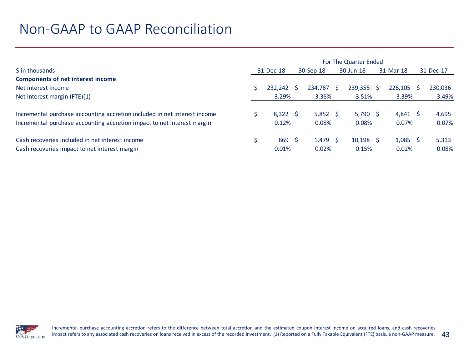|                                                                                                  | For The Quarter Ended |                           |           |                     |           |                      |           |                     |  |                |  |  |  |  |
|--------------------------------------------------------------------------------------------------|-----------------------|---------------------------|-----------|---------------------|-----------|----------------------|-----------|---------------------|--|----------------|--|--|--|--|
| \$ in thousands                                                                                  |                       | 31-Dec-18                 | 30-Sep-18 |                     | 30-Jun-18 |                      | 31-Mar-18 |                     |  | 31-Dec-17      |  |  |  |  |
| <b>Components of net interest income</b>                                                         |                       |                           |           |                     |           |                      |           |                     |  |                |  |  |  |  |
| Net interest income                                                                              |                       | 232,242                   |           | 234.787 \$          |           | $239,355$ \$         |           | $226,105$ \$        |  | 230,036        |  |  |  |  |
| Net interest margin (FTE)(1)                                                                     |                       | 3.29%                     |           | 3.36%               |           | 3.51%                |           | 3.39%               |  | 3.49%          |  |  |  |  |
| Incremental purchase accounting accretion included in net interest income                        |                       | $8,322$ \$                |           | $5,852$ \$          |           | $5,790$ \$           |           | $4,841 \quad$ \$    |  | 4,695          |  |  |  |  |
| Incremental purchase accounting accretion impact to net interest margin                          |                       | 0.12%                     |           | 0.08%               |           | 0.08%                |           | 0.07%               |  | 0.07%          |  |  |  |  |
| Cash recoveries included in net interest income<br>Cash recoveries impact to net interest margin |                       | 869 <sup>5</sup><br>0.01% |           | $1,479$ \$<br>0.02% |           | $10,198$ \$<br>0.15% |           | $1,085$ \$<br>0.02% |  | 5,313<br>0.08% |  |  |  |  |

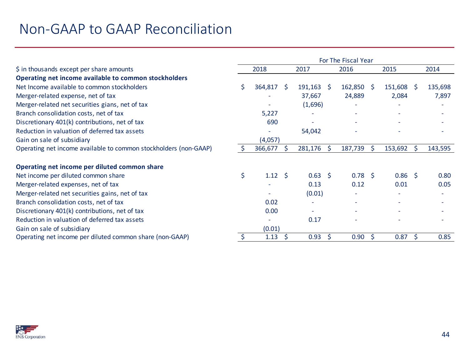|                                                                  | For The Fiscal Year |                 |    |                |  |                 |              |              |     |         |  |  |  |
|------------------------------------------------------------------|---------------------|-----------------|----|----------------|--|-----------------|--------------|--------------|-----|---------|--|--|--|
| \$ in thousands except per share amounts                         |                     | 2018            |    | 2017           |  | 2016            |              | 2015         |     | 2014    |  |  |  |
| Operating net income available to common stockholders            |                     |                 |    |                |  |                 |              |              |     |         |  |  |  |
| Net Income available to common stockholders                      | Š.                  | 364,817         | -S | $191,163$ \$   |  | 162,850         | - Ś          | $151,608$ \$ |     | 135,698 |  |  |  |
| Merger-related expense, net of tax                               |                     |                 |    | 37,667         |  | 24,889          |              | 2,084        |     | 7,897   |  |  |  |
| Merger-related net securities gians, net of tax                  |                     |                 |    | (1,696)        |  |                 |              |              |     |         |  |  |  |
| Branch consolidation costs, net of tax                           |                     | 5,227           |    |                |  |                 |              |              |     |         |  |  |  |
| Discretionary 401(k) contributions, net of tax                   |                     | 690             |    |                |  |                 |              |              |     |         |  |  |  |
| Reduction in valuation of deferred tax assets                    |                     |                 |    | 54,042         |  |                 |              |              |     |         |  |  |  |
| Gain on sale of subsidiary                                       |                     | (4,057)         |    |                |  |                 |              |              |     |         |  |  |  |
| Operating net income available to common stockholders (non-GAAP) | S                   | 366,677         |    | 281,176        |  | 187,739         | Ŝ.           | 153,692      | Ś   | 143,595 |  |  |  |
| Operating net income per diluted common share                    |                     |                 |    |                |  |                 |              |              |     |         |  |  |  |
| Net income per diluted common share                              | \$                  | $1.12 \quad$ \$ |    | $0.63 \quad $$ |  | $0.78 \quad$ \$ |              | $0.86$ \$    |     | 0.80    |  |  |  |
| Merger-related expenses, net of tax                              |                     |                 |    | 0.13           |  | 0.12            |              | 0.01         |     | 0.05    |  |  |  |
| Merger-related net securities gains, net of tax                  |                     |                 |    | (0.01)         |  |                 |              |              |     |         |  |  |  |
| Branch consolidation costs, net of tax                           |                     | 0.02            |    |                |  |                 |              |              |     |         |  |  |  |
| Discretionary 401(k) contributions, net of tax                   |                     | 0.00            |    |                |  |                 |              |              |     |         |  |  |  |
| Reduction in valuation of deferred tax assets                    |                     |                 |    | 0.17           |  |                 |              |              |     |         |  |  |  |
| Gain on sale of subsidiary                                       |                     | (0.01)          |    |                |  |                 |              |              |     |         |  |  |  |
| Operating net income per diluted common share (non-GAAP)         |                     | 1.13            |    | 0.93           |  | 0.90            | <sub>S</sub> | 0.87         | \$. | 0.85    |  |  |  |

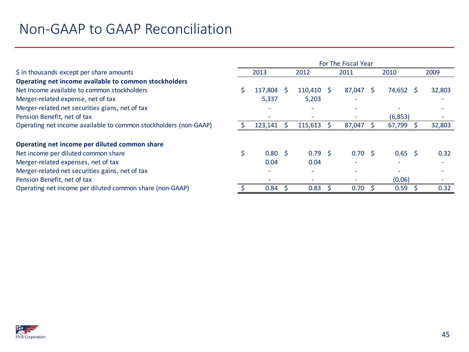| \$ in thousands except per share amounts<br>2013<br>2009<br>2012<br>2011<br>2010<br>Operating net income available to common stockholders<br>Net Income available to common stockholders<br>117,804<br>87,047<br>74,652 \$<br>32,803<br>$110,410 \pm 5$<br><sub>S</sub><br>Merger-related expense, net of tax<br>5,337<br>5,203<br>٠<br>Merger-related net securities gians, net of tax<br>Pension Benefit, net of tax<br>(6, 853)<br>-<br>$\overline{\phantom{a}}$<br>Operating net income available to common stockholders (non-GAAP)<br>32,803<br>123,141<br>115,613<br>67,799<br>87,047<br>Operating net income per diluted common share<br>$0.80 \quad$ \$<br>$0.65$ \$<br>0.32<br>Net income per diluted common share<br>$0.79 \quad $$<br>$0.70 \,$ \$<br>Merger-related expenses, net of tax<br>0.04<br>0.04<br>Merger-related net securities gains, net of tax<br>۰<br>Pension Benefit, net of tax<br>(0.06)<br>$\sim$<br>0.83<br>Operating net income per diluted common share (non-GAAP)<br>0.84<br>0.70<br>0.59<br>0.32 | For The Fiscal Year |  |  |  |  |  |  |  |  |
|-------------------------------------------------------------------------------------------------------------------------------------------------------------------------------------------------------------------------------------------------------------------------------------------------------------------------------------------------------------------------------------------------------------------------------------------------------------------------------------------------------------------------------------------------------------------------------------------------------------------------------------------------------------------------------------------------------------------------------------------------------------------------------------------------------------------------------------------------------------------------------------------------------------------------------------------------------------------------------------------------------------------------------------|---------------------|--|--|--|--|--|--|--|--|
|                                                                                                                                                                                                                                                                                                                                                                                                                                                                                                                                                                                                                                                                                                                                                                                                                                                                                                                                                                                                                                     |                     |  |  |  |  |  |  |  |  |
|                                                                                                                                                                                                                                                                                                                                                                                                                                                                                                                                                                                                                                                                                                                                                                                                                                                                                                                                                                                                                                     |                     |  |  |  |  |  |  |  |  |
|                                                                                                                                                                                                                                                                                                                                                                                                                                                                                                                                                                                                                                                                                                                                                                                                                                                                                                                                                                                                                                     |                     |  |  |  |  |  |  |  |  |
|                                                                                                                                                                                                                                                                                                                                                                                                                                                                                                                                                                                                                                                                                                                                                                                                                                                                                                                                                                                                                                     |                     |  |  |  |  |  |  |  |  |
|                                                                                                                                                                                                                                                                                                                                                                                                                                                                                                                                                                                                                                                                                                                                                                                                                                                                                                                                                                                                                                     |                     |  |  |  |  |  |  |  |  |
|                                                                                                                                                                                                                                                                                                                                                                                                                                                                                                                                                                                                                                                                                                                                                                                                                                                                                                                                                                                                                                     |                     |  |  |  |  |  |  |  |  |
|                                                                                                                                                                                                                                                                                                                                                                                                                                                                                                                                                                                                                                                                                                                                                                                                                                                                                                                                                                                                                                     |                     |  |  |  |  |  |  |  |  |
|                                                                                                                                                                                                                                                                                                                                                                                                                                                                                                                                                                                                                                                                                                                                                                                                                                                                                                                                                                                                                                     |                     |  |  |  |  |  |  |  |  |
|                                                                                                                                                                                                                                                                                                                                                                                                                                                                                                                                                                                                                                                                                                                                                                                                                                                                                                                                                                                                                                     |                     |  |  |  |  |  |  |  |  |
|                                                                                                                                                                                                                                                                                                                                                                                                                                                                                                                                                                                                                                                                                                                                                                                                                                                                                                                                                                                                                                     |                     |  |  |  |  |  |  |  |  |
|                                                                                                                                                                                                                                                                                                                                                                                                                                                                                                                                                                                                                                                                                                                                                                                                                                                                                                                                                                                                                                     |                     |  |  |  |  |  |  |  |  |
|                                                                                                                                                                                                                                                                                                                                                                                                                                                                                                                                                                                                                                                                                                                                                                                                                                                                                                                                                                                                                                     |                     |  |  |  |  |  |  |  |  |
|                                                                                                                                                                                                                                                                                                                                                                                                                                                                                                                                                                                                                                                                                                                                                                                                                                                                                                                                                                                                                                     |                     |  |  |  |  |  |  |  |  |
|                                                                                                                                                                                                                                                                                                                                                                                                                                                                                                                                                                                                                                                                                                                                                                                                                                                                                                                                                                                                                                     |                     |  |  |  |  |  |  |  |  |

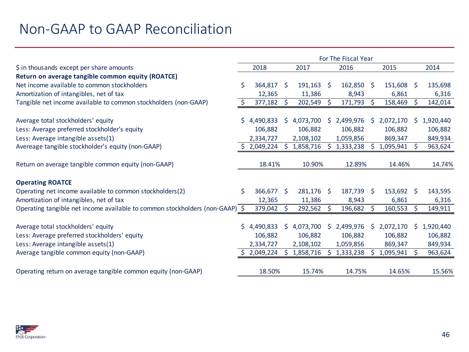|                                                                              |    |             |              |           |              | For The Fiscal Year |    |           |    |           |
|------------------------------------------------------------------------------|----|-------------|--------------|-----------|--------------|---------------------|----|-----------|----|-----------|
| \$ in thousands except per share amounts                                     |    | 2018        |              | 2017      |              | 2016                |    | 2015      |    | 2014      |
| Return on average tangible common equity (ROATCE)                            |    |             |              |           |              |                     |    |           |    |           |
| Net income available to common stockholders                                  | Ś. | 364,817     | -S           | 191,163   | - S          | 162,850             | -S | 151,608   | S  | 135,698   |
| Amortization of intangibles, net of tax                                      |    | 12,365      |              | 11,386    |              | 8,943               |    | 6,861     |    | 6,316     |
| Tangible net income available to common stockholders (non-GAAP)              | \$ | 377,182     | S            | 202,549   | -S           | 171,793             | S. | 158,469   | S. | 142,014   |
| Average total stockholders' equity                                           | S. | 4,490,833   | S.           | 4,073,700 | S            | 2,499,976           | S  | 2,072,170 | S. | 1,920,440 |
| Less: Average preferred stockholder's equity                                 |    | 106,882     |              | 106,882   |              | 106,882             |    | 106,882   |    | 106,882   |
| Less: Average intangible assets(1)                                           |    | 2,334,727   |              | 2,108,102 |              | 1,059,856           |    | 869,347   |    | 849,934   |
| Avereage tangible stockholder's equity (non-GAAP)                            |    | 2,049,224   | Š.           | 1,858,716 | <sub>S</sub> | 1,333,238           |    | 1,095,941 |    | 963,624   |
| Return on average tangible common equity (non-GAAP)                          |    | 18.41%      |              | 10.90%    |              | 12.89%              |    | 14.46%    |    | 14.74%    |
| <b>Operating ROATCE</b>                                                      |    |             |              |           |              |                     |    |           |    |           |
| Operating net income available to common stockholders(2)                     | Ś. | 366,677     | <sup>S</sup> | 281,176   | - Ś          | 187,739             | -S | 153,692   | -S | 143,595   |
| Amortization of intangibles, net of tax                                      |    | 12,365      |              | 11,386    |              | 8,943               |    | 6,861     |    | 6,316     |
| Operating tangible net income available to common stockholders (non-GAAP) \$ |    | 379,042     |              | 292,562   | -S           | 196,682             | S  | 160,553   | S  | 149,911   |
|                                                                              |    |             |              |           |              |                     |    |           |    |           |
| Average total stockholders' equity                                           |    | \$4,490,833 | S.           | 4,073,700 | S.           | 2,499,976           | S. | 2,072,170 | Ś. | 1,920,440 |
| Less: Average preferred stockholders' equity                                 |    | 106,882     |              | 106,882   |              | 106,882             |    | 106,882   |    | 106,882   |
| Less: Average intangible assets(1)                                           |    | 2,334,727   |              | 2,108,102 |              | 1,059,856           |    | 869,347   |    | 849,934   |
| Average tangible common equity (non-GAAP)                                    |    | 2,049,224   | S.           | 1,858,716 | <sub>S</sub> | 1,333,238           |    | 1,095,941 |    | 963,624   |
| Operating return on average tangible common equity (non-GAAP)                |    | 18.50%      |              | 15.74%    |              | 14.75%              |    | 14.65%    |    | 15.56%    |

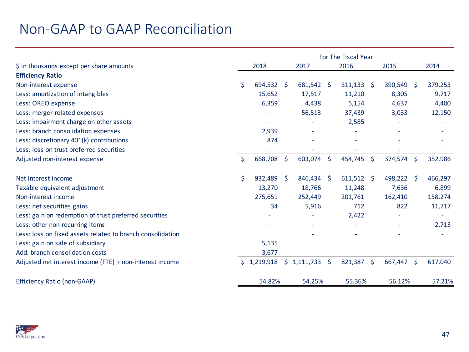|                                                            | For The Fiscal Year |            |              |                   |    |              |         |         |              |         |
|------------------------------------------------------------|---------------------|------------|--------------|-------------------|----|--------------|---------|---------|--------------|---------|
| \$ in thousands except per share amounts                   |                     | 2018       |              | 2017              |    | 2016         |         | 2015    |              | 2014    |
| <b>Efficiency Ratio</b>                                    |                     |            |              |                   |    |              |         |         |              |         |
| Non-interest expense                                       | \$                  | 694,532 \$ |              | $681,542 \quad $$ |    | 511,133      | $\zeta$ | 390,549 | <sup>S</sup> | 379,253 |
| Less: amortization of intangibles                          |                     | 15,652     |              | 17,517            |    | 11,210       |         | 8,305   |              | 9,717   |
| Less: OREO expense                                         |                     | 6,359      |              | 4,438             |    | 5,154        |         | 4,637   |              | 4,400   |
| Less: merger-related expenses                              |                     |            |              | 56,513            |    | 37,439       |         | 3,033   |              | 12,150  |
| Less: impairment charge on other assets                    |                     |            |              |                   |    | 2,585        |         |         |              |         |
| Less: branch consolidation expenses                        |                     | 2,939      |              |                   |    |              |         |         |              |         |
| Less: discretionary 401(k) contributions                   |                     | 874        |              |                   |    |              |         |         |              |         |
| Less: loss on trust preferred securities                   |                     | ÷,         |              |                   |    |              |         |         |              |         |
| Adjusted non-interest expense                              | \$                  | 668,708    | Ŝ.           | 603,074           | -Ś | 454,745      | \$      | 374,574 | \$           | 352,986 |
|                                                            |                     |            |              |                   |    |              |         |         |              |         |
| Net interest income                                        | \$                  | 932,489    | <sup>S</sup> | 846,434 \$        |    | $611,512$ \$ |         | 498,222 | -Ś           | 466,297 |
| Taxable equivalent adjustment                              |                     | 13,270     |              | 18,766            |    | 11,248       |         | 7,636   |              | 6,899   |
| Non-interest income                                        |                     | 275,651    |              | 252,449           |    | 201,761      |         | 162,410 |              | 158,274 |
| Less: net securities gains                                 |                     | 34         |              | 5,916             |    | 712          |         | 822     |              | 11,717  |
| Less: gain on redemption of trust preferred securities     |                     |            |              |                   |    | 2,422        |         |         |              |         |
| Less: other non-recurring items                            |                     |            |              |                   |    |              |         |         |              | 2,713   |
| Less: loss on fixed assets related to branch consolidation |                     |            |              |                   |    |              |         |         |              |         |
| Less: gain on sale of subsidiary                           |                     | 5,135      |              |                   |    |              |         |         |              |         |
| Add: branch consolidation costs                            |                     | 3,677      |              |                   |    |              |         |         |              |         |
| Adjusted net interest income (FTE) + non-interest income   |                     | 1,219,918  |              | $$1,111,733$ \$   |    | 821,387      | \$      | 667,447 | \$           | 617,040 |
| <b>Efficiency Ratio (non-GAAP)</b>                         |                     | 54.82%     |              | 54.25%            |    | 55.36%       |         | 56.12%  |              | 57.21%  |

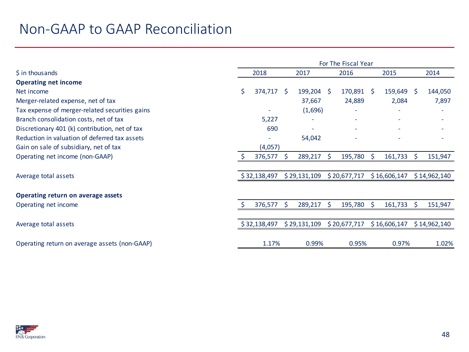|                                                | For The Fiscal Year |              |              |              |    |              |    |              |              |              |
|------------------------------------------------|---------------------|--------------|--------------|--------------|----|--------------|----|--------------|--------------|--------------|
| \$ in thousands                                |                     | 2018         |              | 2017         |    | 2016         |    | 2015         |              | 2014         |
| <b>Operating net income</b>                    |                     |              |              |              |    |              |    |              |              |              |
| Net income                                     | Š.                  | 374,717      | <sup>S</sup> | $199,204$ \$ |    | 170,891      | S. | 159,649      | <sup>S</sup> | 144,050      |
| Merger-related expense, net of tax             |                     |              |              | 37,667       |    | 24,889       |    | 2,084        |              | 7,897        |
| Tax expense of merger-related securities gains |                     |              |              | (1,696)      |    |              |    |              |              |              |
| Branch consolidation costs, net of tax         |                     | 5,227        |              |              |    |              |    |              |              |              |
| Discretionary 401 (k) contribution, net of tax |                     | 690          |              |              |    |              |    |              |              |              |
| Reduction in valuation of deferred tax assets  |                     |              |              | 54,042       |    |              |    |              |              |              |
| Gain on sale of subsidiary, net of tax         |                     | (4,057)      |              |              |    |              |    |              |              |              |
| Operating net income (non-GAAP)                | S.                  | 376,577      | <sub>S</sub> | 289,217      | -S | 195,780      | S. | 161,733      | -\$          | 151,947      |
|                                                |                     |              |              |              |    |              |    |              |              |              |
| Average total assets                           |                     | \$32,138,497 |              | \$29,131,109 |    | \$20,677,717 |    | \$16,606,147 |              | \$14,962,140 |
|                                                |                     |              |              |              |    |              |    |              |              |              |
| Operating return on average assets             |                     |              |              |              |    |              |    |              |              |              |
| Operating net income                           |                     | 376,577      | Ŝ.           | 289,217      | -S | 195,780      | S. | 161,733      | <sup>S</sup> | 151,947      |
|                                                |                     |              |              |              |    |              |    |              |              |              |
| Average total assets                           |                     | \$32,138,497 |              | \$29,131,109 |    | \$20,677,717 |    | \$16,606,147 |              | \$14,962,140 |
| Operating return on average assets (non-GAAP)  |                     | 1.17%        |              | 0.99%        |    | 0.95%        |    | 0.97%        |              | 1.02%        |
|                                                |                     |              |              |              |    |              |    |              |              |              |